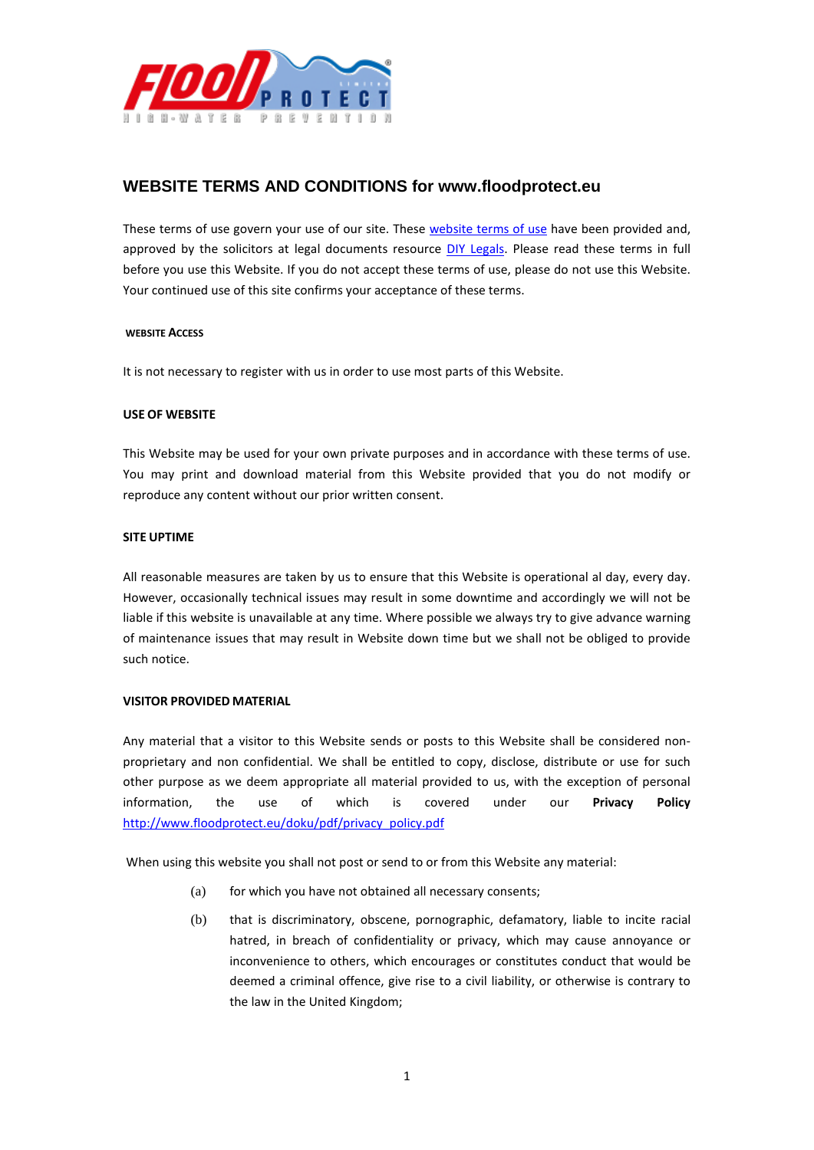

## **WEBSITE TERMS AND CONDITIONS for www.floodprotect.eu**

These terms of use govern your use of our site. These [website terms of use](http://www.diylegals.co.uk/ecommerce/website-terms-conditions/) have been provided and, approved by the solicitors at legal documents resource [DIY Legals.](http://www.diylegals.co.uk/) Please read these terms in full before you use this Website. If you do not accept these terms of use, please do not use this Website. Your continued use of this site confirms your acceptance of these terms.

#### **WEBSITE ACCESS**

It is not necessary to register with us in order to use most parts of this Website.

#### **USE OF WEBSITE**

This Website may be used for your own private purposes and in accordance with these terms of use. You may print and download material from this Website provided that you do not modify or reproduce any content without our prior written consent.

#### **SITE UPTIME**

All reasonable measures are taken by us to ensure that this Website is operational al day, every day. However, occasionally technical issues may result in some downtime and accordingly we will not be liable if this website is unavailable at any time. Where possible we always try to give advance warning of maintenance issues that may result in Website down time but we shall not be obliged to provide such notice.

#### **VISITOR PROVIDED MATERIAL**

Any material that a visitor to this Website sends or posts to this Website shall be considered nonproprietary and non confidential. We shall be entitled to copy, disclose, distribute or use for such other purpose as we deem appropriate all material provided to us, with the exception of personal information, the use of which is covered under our **Privacy Policy** [http://www.floodprotect.eu/doku/pdf/privacy\\_policy.pdf](http://www.floodprotect.eu/doku/pdf/privacy_policy.pdf)

When using this website you shall not post or send to or from this Website any material:

- (a) for which you have not obtained all necessary consents;
- (b) that is discriminatory, obscene, pornographic, defamatory, liable to incite racial hatred, in breach of confidentiality or privacy, which may cause annoyance or inconvenience to others, which encourages or constitutes conduct that would be deemed a criminal offence, give rise to a civil liability, or otherwise is contrary to the law in the United Kingdom;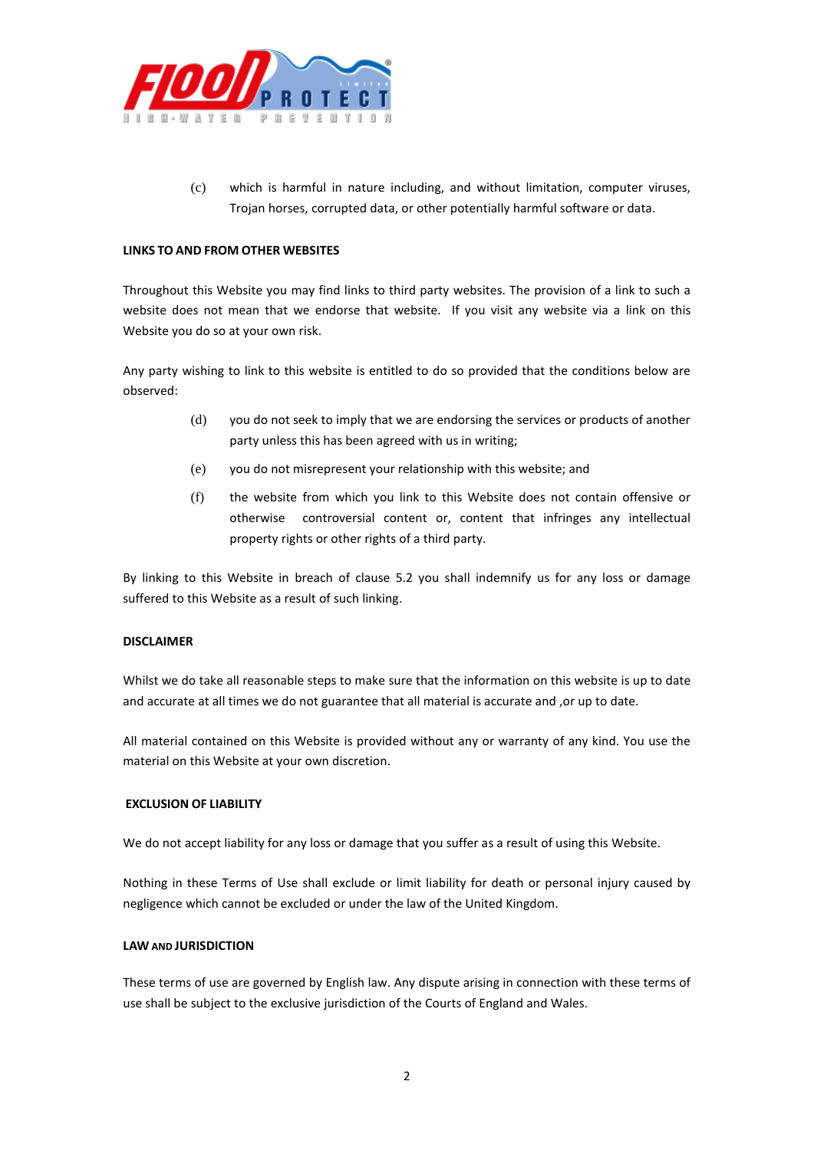

(c) which is harmful in nature including, and without limitation, computer viruses, Trojan horses, corrupted data, or other potentially harmful software or data.

#### **LINKS TO AND FROM OTHER WEBSITES**

Throughout this Website you may find links to third party websites. The provision of a link to such a website does not mean that we endorse that website. If you visit any website via a link on this Website you do so at your own risk.

Any party wishing to link to this website is entitled to do so provided that the conditions below are observed:

- (d) you do not seek to imply that we are endorsing the services or products of another party unless this has been agreed with us in writing;
- (e) you do not misrepresent your relationship with this website; and
- (f) the website from which you link to this Website does not contain offensive or otherwise controversial content or, content that infringes any intellectual property rights or other rights of a third party.

By linking to this Website in breach of clause 5.2 you shall indemnify us for any loss or damage suffered to this Website as a result of such linking.

### **DISCLAIMER**

Whilst we do take all reasonable steps to make sure that the information on this website is up to date and accurate at all times we do not guarantee that all material is accurate and , or up to date.

All material contained on this Website is provided without any or warranty of any kind. You use the material on this Website at your own discretion.

#### **EXCLUSION OF LIABILITY**

We do not accept liability for any loss or damage that you suffer as a result of using this Website.

Nothing in these Terms of Use shall exclude or limit liability for death or personal injury caused by negligence which cannot be excluded or under the law of the United Kingdom.

#### **LAW AND JURISDICTION**

These terms of use are governed by English law. Any dispute arising in connection with these terms of use shall be subject to the exclusive jurisdiction of the Courts of England and Wales.